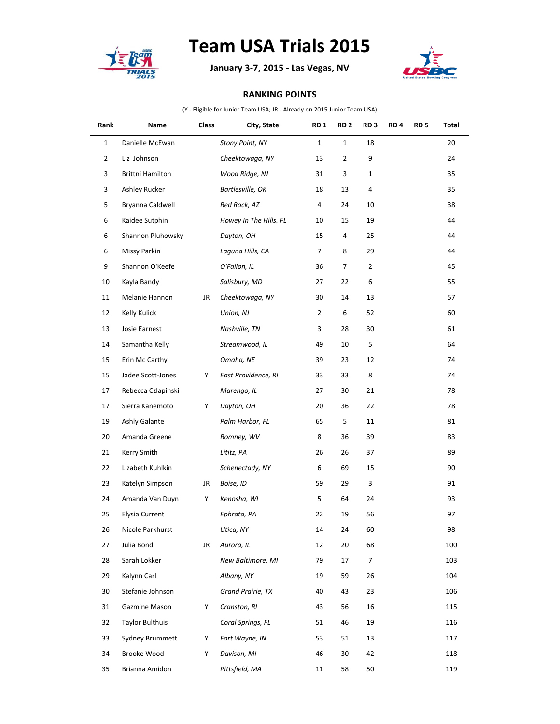

## **Team USA Trials 2015**

**January 3-7, 2015 - Las Vegas, NV**



## **RANKING POINTS**

(Y - Eligible for Junior Team USA; JR - Already on 2015 Junior Team USA)

| Rank           | Name                   | Class | City, State            | <b>RD1</b>     | RD <sub>2</sub> | RD <sub>3</sub> | RD <sub>4</sub> | RD <sub>5</sub> | Total |
|----------------|------------------------|-------|------------------------|----------------|-----------------|-----------------|-----------------|-----------------|-------|
| $\mathbf 1$    | Danielle McEwan        |       | Stony Point, NY        | $\mathbf{1}$   | $\mathbf{1}$    | 18              |                 |                 | 20    |
| $\overline{2}$ | Liz Johnson            |       | Cheektowaga, NY        | 13             | 2               | 9               |                 |                 | 24    |
| 3              | Brittni Hamilton       |       | Wood Ridge, NJ         | 31             | 3               | 1               |                 |                 | 35    |
| 3              | Ashley Rucker          |       | Bartlesville, OK       | 18             | 13              | 4               |                 |                 | 35    |
| 5              | Bryanna Caldwell       |       | Red Rock, AZ           | 4              | 24              | 10              |                 |                 | 38    |
| 6              | Kaidee Sutphin         |       | Howey In The Hills, FL | 10             | 15              | 19              |                 |                 | 44    |
| 6              | Shannon Pluhowsky      |       | Dayton, OH             | 15             | 4               | 25              |                 |                 | 44    |
| 6              | Missy Parkin           |       | Laguna Hills, CA       | 7              | 8               | 29              |                 |                 | 44    |
| 9              | Shannon O'Keefe        |       | O'Fallon, IL           | 36             | 7               | 2               |                 |                 | 45    |
| 10             | Kayla Bandy            |       | Salisbury, MD          | 27             | 22              | 6               |                 |                 | 55    |
| 11             | Melanie Hannon         | JR    | Cheektowaga, NY        | 30             | 14              | 13              |                 |                 | 57    |
| 12             | Kelly Kulick           |       | Union, NJ              | $\overline{2}$ | 6               | 52              |                 |                 | 60    |
| 13             | Josie Earnest          |       | Nashville, TN          | 3              | 28              | 30              |                 |                 | 61    |
| 14             | Samantha Kelly         |       | Streamwood, IL         | 49             | 10              | 5               |                 |                 | 64    |
| 15             | Erin Mc Carthy         |       | Omaha, NE              | 39             | 23              | 12              |                 |                 | 74    |
| 15             | Jadee Scott-Jones      | Y     | East Providence, RI    | 33             | 33              | 8               |                 |                 | 74    |
| 17             | Rebecca Czlapinski     |       | Marengo, IL            | 27             | 30              | 21              |                 |                 | 78    |
| 17             | Sierra Kanemoto        | Y     | Dayton, OH             | 20             | 36              | 22              |                 |                 | 78    |
| 19             | Ashly Galante          |       | Palm Harbor, FL        | 65             | 5               | 11              |                 |                 | 81    |
| 20             | Amanda Greene          |       | Romney, WV             | 8              | 36              | 39              |                 |                 | 83    |
| 21             | Kerry Smith            |       | Lititz, PA             | 26             | 26              | 37              |                 |                 | 89    |
| 22             | Lizabeth Kuhlkin       |       | Schenectady, NY        | 6              | 69              | 15              |                 |                 | 90    |
| 23             | Katelyn Simpson        | JR    | Boise, ID              | 59             | 29              | 3               |                 |                 | 91    |
| 24             | Amanda Van Duyn        | Υ     | Kenosha, WI            | 5              | 64              | 24              |                 |                 | 93    |
| 25             | Elysia Current         |       | Ephrata, PA            | 22             | 19              | 56              |                 |                 | 97    |
| 26             | Nicole Parkhurst       |       | Utica, NY              | 14             | 24              | 60              |                 |                 | 98    |
| 27             | Julia Bond             | JR    | Aurora, IL             | 12             | 20              | 68              |                 |                 | 100   |
| 28             | Sarah Lokker           |       | New Baltimore, MI      | 79             | 17              | 7               |                 |                 | 103   |
| 29             | Kalynn Carl            |       | Albany, NY             | 19             | 59              | 26              |                 |                 | 104   |
| 30             | Stefanie Johnson       |       | Grand Prairie, TX      | 40             | 43              | 23              |                 |                 | 106   |
| 31             | Gazmine Mason          | Y     | Cranston, RI           | 43             | 56              | 16              |                 |                 | 115   |
| 32             | <b>Taylor Bulthuis</b> |       | Coral Springs, FL      | 51             | 46              | 19              |                 |                 | 116   |
| 33             | Sydney Brummett        | Y     | Fort Wayne, IN         | 53             | 51              | 13              |                 |                 | 117   |
| 34             | Brooke Wood            | Y     | Davison, MI            | 46             | 30              | 42              |                 |                 | 118   |
| 35             | Brianna Amidon         |       | Pittsfield, MA         | 11             | 58              | 50              |                 |                 | 119   |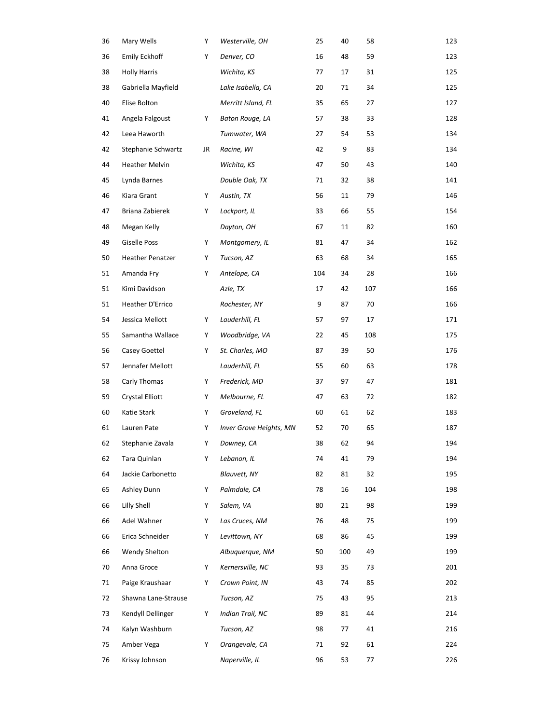| 36 | Mary Wells              | Y  | Westerville, OH         | 25  | 40  | 58  | 123 |
|----|-------------------------|----|-------------------------|-----|-----|-----|-----|
| 36 | <b>Emily Eckhoff</b>    | Y  | Denver, CO              | 16  | 48  | 59  | 123 |
| 38 | <b>Holly Harris</b>     |    | Wichita, KS             | 77  | 17  | 31  | 125 |
| 38 | Gabriella Mayfield      |    | Lake Isabella, CA       | 20  | 71  | 34  | 125 |
| 40 | Elise Bolton            |    | Merritt Island, FL      | 35  | 65  | 27  | 127 |
| 41 | Angela Falgoust         | Y  | Baton Rouge, LA         | 57  | 38  | 33  | 128 |
| 42 | Leea Haworth            |    | Tumwater, WA            | 27  | 54  | 53  | 134 |
| 42 | Stephanie Schwartz      | JR | Racine, WI              | 42  | 9   | 83  | 134 |
| 44 | <b>Heather Melvin</b>   |    | Wichita, KS             | 47  | 50  | 43  | 140 |
| 45 | Lynda Barnes            |    | Double Oak, TX          | 71  | 32  | 38  | 141 |
| 46 | Kiara Grant             | Y  | Austin, TX              | 56  | 11  | 79  | 146 |
| 47 | Briana Zabierek         | Y  | Lockport, IL            | 33  | 66  | 55  | 154 |
| 48 | Megan Kelly             |    | Dayton, OH              | 67  | 11  | 82  | 160 |
| 49 | Giselle Poss            | Y  | Montgomery, IL          | 81  | 47  | 34  | 162 |
| 50 | <b>Heather Penatzer</b> | Υ  | Tucson, AZ              | 63  | 68  | 34  | 165 |
| 51 | Amanda Fry              | Y  | Antelope, CA            | 104 | 34  | 28  | 166 |
| 51 | Kimi Davidson           |    | Azle, TX                | 17  | 42  | 107 | 166 |
| 51 | Heather D'Errico        |    | Rochester, NY           | 9   | 87  | 70  | 166 |
| 54 | Jessica Mellott         | Y  | Lauderhill, FL          | 57  | 97  | 17  | 171 |
| 55 | Samantha Wallace        | Y  | Woodbridge, VA          | 22  | 45  | 108 | 175 |
| 56 | Casey Goettel           | Y  | St. Charles, MO         | 87  | 39  | 50  | 176 |
| 57 | Jennafer Mellott        |    | Lauderhill, FL          | 55  | 60  | 63  | 178 |
| 58 | Carly Thomas            | Y  | Frederick, MD           | 37  | 97  | 47  | 181 |
| 59 | <b>Crystal Elliott</b>  | Y  | Melbourne, FL           | 47  | 63  | 72  | 182 |
| 60 | Katie Stark             | Y  | Groveland, FL           | 60  | 61  | 62  | 183 |
| 61 | Lauren Pate             | Y  | Inver Grove Heights, MN | 52  | 70  | 65  | 187 |
| 62 | Stephanie Zavala        | Υ  | Downey, CA              | 38  | 62  | 94  | 194 |
| 62 | Tara Quinlan            | Y  | Lebanon, IL             | 74  | 41  | 79  | 194 |
| 64 | Jackie Carbonetto       |    | Blauvett, NY            | 82  | 81  | 32  | 195 |
| 65 | Ashley Dunn             | Y  | Palmdale, CA            | 78  | 16  | 104 | 198 |
| 66 | Lilly Shell             | Y  | Salem, VA               | 80  | 21  | 98  | 199 |
| 66 | Adel Wahner             | Y  | Las Cruces, NM          | 76  | 48  | 75  | 199 |
| 66 | Erica Schneider         | Y  | Levittown, NY           | 68  | 86  | 45  | 199 |
| 66 | Wendy Shelton           |    | Albuguergue, NM         | 50  | 100 | 49  | 199 |
| 70 | Anna Groce              | Y  | Kernersville, NC        | 93  | 35  | 73  | 201 |
| 71 | Paige Kraushaar         | Y  | Crown Point, IN         | 43  | 74  | 85  | 202 |
| 72 | Shawna Lane-Strause     |    | Tucson, AZ              | 75  | 43  | 95  | 213 |
| 73 | Kendyll Dellinger       | Y  | Indian Trail, NC        | 89  | 81  | 44  | 214 |
| 74 | Kalyn Washburn          |    | Tucson, AZ              | 98  | 77  | 41  | 216 |
| 75 | Amber Vega              | Y  | Orangevale, CA          | 71  | 92  | 61  | 224 |
| 76 | Krissy Johnson          |    | Naperville, IL          | 96  | 53  | 77  | 226 |